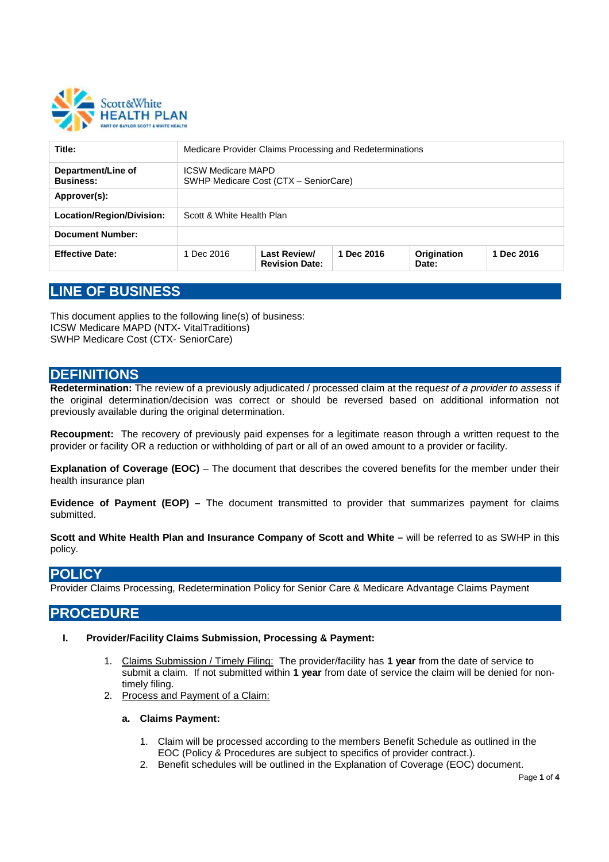

| Title:                                 | Medicare Provider Claims Processing and Redeterminations           |                                       |            |                      |            |
|----------------------------------------|--------------------------------------------------------------------|---------------------------------------|------------|----------------------|------------|
| Department/Line of<br><b>Business:</b> | <b>ICSW Medicare MAPD</b><br>SWHP Medicare Cost (CTX - SeniorCare) |                                       |            |                      |            |
| Approver(s):                           |                                                                    |                                       |            |                      |            |
| Location/Region/Division:              | Scott & White Health Plan                                          |                                       |            |                      |            |
| <b>Document Number:</b>                |                                                                    |                                       |            |                      |            |
| <b>Effective Date:</b>                 | 1 Dec 2016                                                         | Last Review/<br><b>Revision Date:</b> | 1 Dec 2016 | Origination<br>Date: | 1 Dec 2016 |

# **LINE OF BUSINESS**

This document applies to the following line(s) of business: ICSW Medicare MAPD (NTX- VitalTraditions) SWHP Medicare Cost (CTX- SeniorCare)

### **DEFINITIONS**

**Redetermination:** The review of a previously adjudicated / processed claim at the requ*est of a provider to assess* if the original determination/decision was correct or should be reversed based on additional information not previously available during the original determination.

**Recoupment:** The recovery of previously paid expenses for a legitimate reason through a written request to the provider or facility OR a reduction or withholding of part or all of an owed amount to a provider or facility.

**Explanation of Coverage (EOC)** – The document that describes the covered benefits for the member under their health insurance plan

**Evidence of Payment (EOP) –** The document transmitted to provider that summarizes payment for claims submitted.

**Scott and White Health Plan and Insurance Company of Scott and White –** will be referred to as SWHP in this policy.

### **POLICY**

Provider Claims Processing, Redetermination Policy for Senior Care & Medicare Advantage Claims Payment

### **PROCEDURE**

- **I. Provider/Facility Claims Submission, Processing & Payment:**
	- 1. Claims Submission / Timely Filing: The provider/facility has **1 year** from the date of service to submit a claim. If not submitted within **1 year** from date of service the claim will be denied for nontimely filing.
	- 2. Process and Payment of a Claim:

#### **a. Claims Payment:**

- 1. Claim will be processed according to the members Benefit Schedule as outlined in the EOC (Policy & Procedures are subject to specifics of provider contract.).
- 2. Benefit schedules will be outlined in the Explanation of Coverage (EOC) document.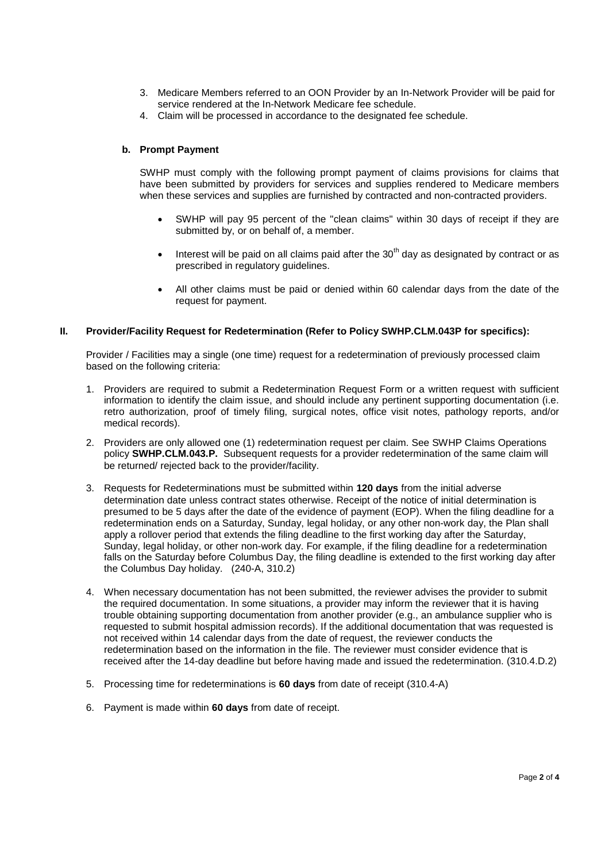- 3. Medicare Members referred to an OON Provider by an In-Network Provider will be paid for service rendered at the In-Network Medicare fee schedule.
- 4. Claim will be processed in accordance to the designated fee schedule.

#### **b. Prompt Payment**

SWHP must comply with the following prompt payment of claims provisions for claims that have been submitted by providers for services and supplies rendered to Medicare members when these services and supplies are furnished by contracted and non-contracted providers.

- SWHP will pay 95 percent of the "clean claims" within 30 days of receipt if they are submitted by, or on behalf of, a member.
- Interest will be paid on all claims paid after the  $30<sup>th</sup>$  day as designated by contract or as prescribed in regulatory guidelines.
- All other claims must be paid or denied within 60 calendar days from the date of the request for payment.

#### **II. Provider/Facility Request for Redetermination (Refer to Policy SWHP.CLM.043P for specifics):**

Provider / Facilities may a single (one time) request for a redetermination of previously processed claim based on the following criteria:

- 1. Providers are required to submit a Redetermination Request Form or a written request with sufficient information to identify the claim issue, and should include any pertinent supporting documentation (i.e. retro authorization, proof of timely filing, surgical notes, office visit notes, pathology reports, and/or medical records).
- 2. Providers are only allowed one (1) redetermination request per claim. See SWHP Claims Operations policy **SWHP.CLM.043.P.** Subsequent requests for a provider redetermination of the same claim will be returned/ rejected back to the provider/facility.
- 3. Requests for Redeterminations must be submitted within **120 days** from the initial adverse determination date unless contract states otherwise. Receipt of the notice of initial determination is presumed to be 5 days after the date of the evidence of payment (EOP). When the filing deadline for a redetermination ends on a Saturday, Sunday, legal holiday, or any other non-work day, the Plan shall apply a rollover period that extends the filing deadline to the first working day after the Saturday, Sunday, legal holiday, or other non-work day. For example, if the filing deadline for a redetermination falls on the Saturday before Columbus Day, the filing deadline is extended to the first working day after the Columbus Day holiday. (240-A, 310.2)
- 4. When necessary documentation has not been submitted, the reviewer advises the provider to submit the required documentation. In some situations, a provider may inform the reviewer that it is having trouble obtaining supporting documentation from another provider (e.g., an ambulance supplier who is requested to submit hospital admission records). If the additional documentation that was requested is not received within 14 calendar days from the date of request, the reviewer conducts the redetermination based on the information in the file. The reviewer must consider evidence that is received after the 14-day deadline but before having made and issued the redetermination. (310.4.D.2)
- 5. Processing time for redeterminations is **60 days** from date of receipt (310.4-A)
- 6. Payment is made within **60 days** from date of receipt.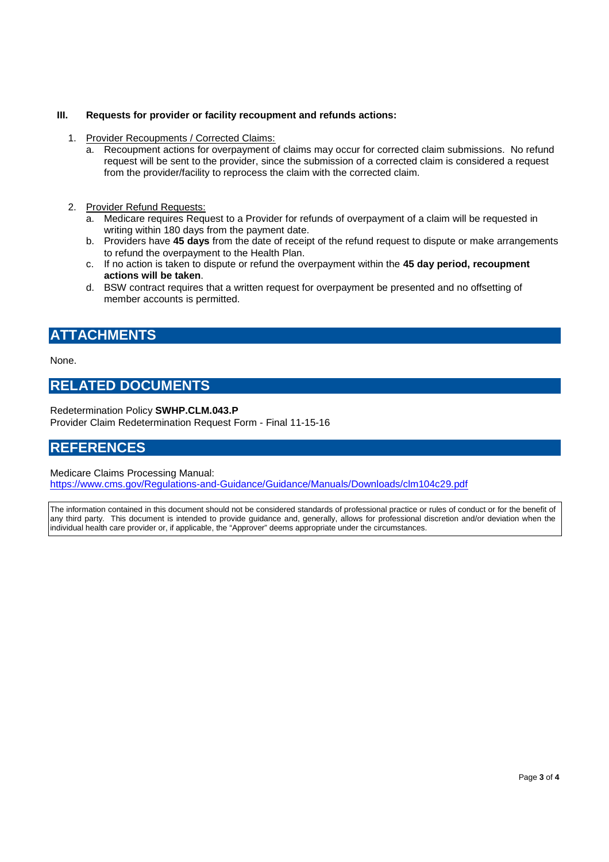#### **III. Requests for provider or facility recoupment and refunds actions:**

- 1. Provider Recoupments / Corrected Claims:
	- a. Recoupment actions for overpayment of claims may occur for corrected claim submissions. No refund request will be sent to the provider, since the submission of a corrected claim is considered a request from the provider/facility to reprocess the claim with the corrected claim.
- 2. Provider Refund Requests:
	- a. Medicare requires Request to a Provider for refunds of overpayment of a claim will be requested in writing within 180 days from the payment date.
	- b. Providers have **45 days** from the date of receipt of the refund request to dispute or make arrangements to refund the overpayment to the Health Plan.
	- c. If no action is taken to dispute or refund the overpayment within the **45 day period, recoupment actions will be taken**.
	- d. BSW contract requires that a written request for overpayment be presented and no offsetting of member accounts is permitted.

# **ATTACHMENTS**

None.

## **RELATED DOCUMENTS**

Redetermination Policy **SWHP.CLM.043.P**

Provider Claim Redetermination Request Form - Final 11-15-16

## **REFERENCES**

#### Medicare Claims Processing Manual:

https://www.cms.gov/Regulations-and-Guidance/Guidance/Manuals/Downloads/clm104c29.pdf

The information contained in this document should not be considered standards of professional practice or rules of conduct or for the benefit of any third party. This document is intended to provide guidance and, generally, allows for professional discretion and/or deviation when the individual health care provider or, if applicable, the "Approver" deems appropriate under the circumstances.